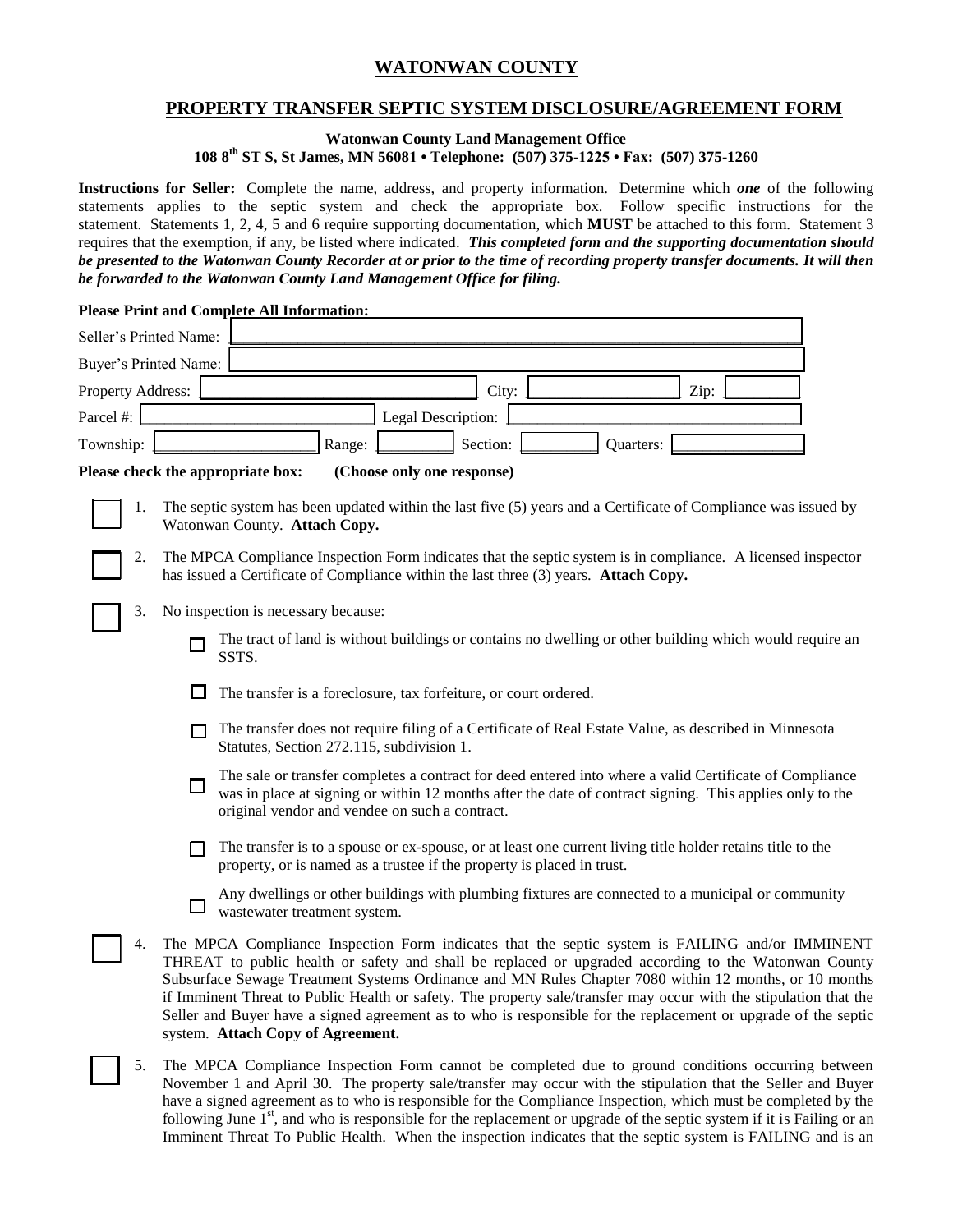# **WATONWAN COUNTY**

## **PROPERTY TRANSFER SEPTIC SYSTEM DISCLOSURE/AGREEMENT FORM**

**Watonwan County Land Management Office 108 8th ST S, St James, MN 56081 • Telephone: (507) 375-1225 • Fax: (507) 375-1260**

**Instructions for Seller:** Complete the name, address, and property information. Determine which *one* of the following statements applies to the septic system and check the appropriate box. Follow specific instructions for the statement. Statements 1, 2, 4, 5 and 6 require supporting documentation, which **MUST** be attached to this form. Statement 3 requires that the exemption, if any, be listed where indicated. *This completed form and the supporting documentation should be presented to the Watonwan County Recorder at or prior to the time of recording property transfer documents. It will then be forwarded to the Watonwan County Land Management Office for filing.*

### **Please Print and Complete All Information:**

| Seller's Printed Name: |        |                                                                                                                                                                                                                                                                                                                                                                                                                                                                                                                                                                                               |
|------------------------|--------|-----------------------------------------------------------------------------------------------------------------------------------------------------------------------------------------------------------------------------------------------------------------------------------------------------------------------------------------------------------------------------------------------------------------------------------------------------------------------------------------------------------------------------------------------------------------------------------------------|
| Buyer's Printed Name:  |        |                                                                                                                                                                                                                                                                                                                                                                                                                                                                                                                                                                                               |
| Property Address:      |        | City:<br>Zip:                                                                                                                                                                                                                                                                                                                                                                                                                                                                                                                                                                                 |
| Parcel #:              |        | Legal Description:                                                                                                                                                                                                                                                                                                                                                                                                                                                                                                                                                                            |
| Township:              |        | Section:<br>Quarters:<br>Range:                                                                                                                                                                                                                                                                                                                                                                                                                                                                                                                                                               |
|                        |        | Please check the appropriate box:<br>(Choose only one response)                                                                                                                                                                                                                                                                                                                                                                                                                                                                                                                               |
| 1.                     |        | The septic system has been updated within the last five (5) years and a Certificate of Compliance was issued by<br>Watonwan County. Attach Copy.                                                                                                                                                                                                                                                                                                                                                                                                                                              |
| 2.                     |        | The MPCA Compliance Inspection Form indicates that the septic system is in compliance. A licensed inspector<br>has issued a Certificate of Compliance within the last three (3) years. Attach Copy.                                                                                                                                                                                                                                                                                                                                                                                           |
| 3.                     |        | No inspection is necessary because:                                                                                                                                                                                                                                                                                                                                                                                                                                                                                                                                                           |
|                        |        | The tract of land is without buildings or contains no dwelling or other building which would require an<br>SSTS.                                                                                                                                                                                                                                                                                                                                                                                                                                                                              |
|                        |        | The transfer is a foreclosure, tax forfeiture, or court ordered.                                                                                                                                                                                                                                                                                                                                                                                                                                                                                                                              |
|                        |        | The transfer does not require filing of a Certificate of Real Estate Value, as described in Minnesota<br>Statutes, Section 272.115, subdivision 1.                                                                                                                                                                                                                                                                                                                                                                                                                                            |
|                        | □      | The sale or transfer completes a contract for deed entered into where a valid Certificate of Compliance<br>was in place at signing or within 12 months after the date of contract signing. This applies only to the<br>original vendor and vendee on such a contract.                                                                                                                                                                                                                                                                                                                         |
|                        |        | The transfer is to a spouse or ex-spouse, or at least one current living title holder retains title to the<br>property, or is named as a trustee if the property is placed in trust.                                                                                                                                                                                                                                                                                                                                                                                                          |
|                        | $\Box$ | Any dwellings or other buildings with plumbing fixtures are connected to a municipal or community<br>wastewater treatment system.                                                                                                                                                                                                                                                                                                                                                                                                                                                             |
| 4.                     |        | The MPCA Compliance Inspection Form indicates that the septic system is FAILING and/or IMMINENT<br>THREAT to public health or safety and shall be replaced or upgraded according to the Watonwan County<br>Subsurface Sewage Treatment Systems Ordinance and MN Rules Chapter 7080 within 12 months, or 10 months<br>if Imminent Threat to Public Health or safety. The property sale/transfer may occur with the stipulation that the<br>Seller and Buyer have a signed agreement as to who is responsible for the replacement or upgrade of the septic<br>system. Attach Copy of Agreement. |
| 5.                     |        | The MPCA Compliance Inspection Form cannot be completed due to ground conditions occurring between<br>November 1 and April 30. The property sale/transfer may occur with the stipulation that the Seller and Buyer<br>have a signed agreement as to who is responsible for the Compliance Inspection, which must be completed by the                                                                                                                                                                                                                                                          |

following June  $1<sup>st</sup>$ , and who is responsible for the replacement or upgrade of the septic system if it is Failing or an Imminent Threat To Public Health. When the inspection indicates that the septic system is FAILING and is an